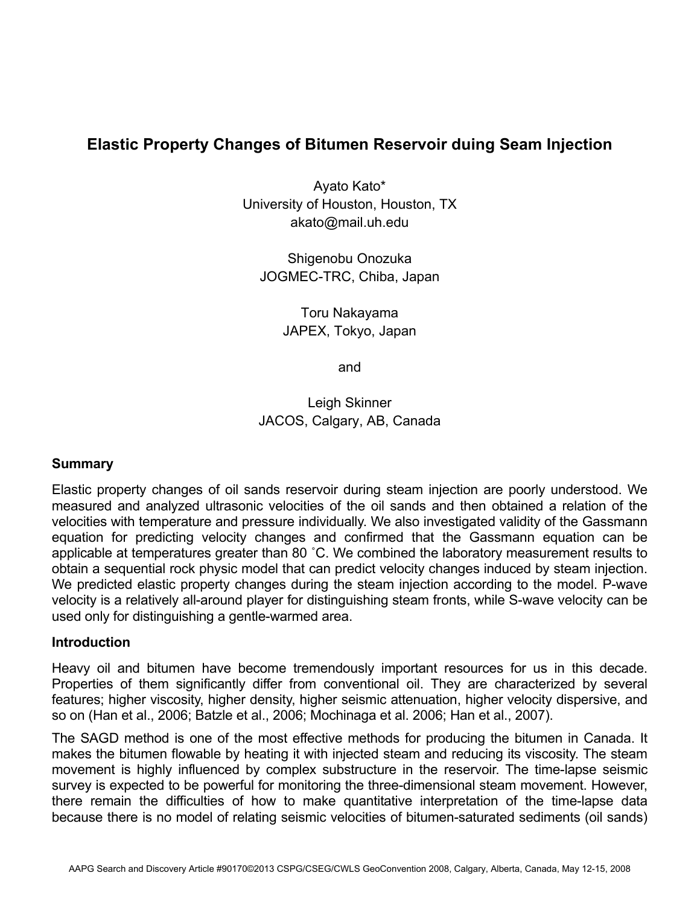# **Elastic Property Changes of Bitumen Reservoir duing Seam Injection**

Ayato Kato\* University of Houston, Houston, TX akato@mail.uh.edu

Shigenobu Onozuka JOGMEC-TRC, Chiba, Japan

> Toru Nakayama JAPEX, Tokyo, Japan

> > and

Leigh Skinner JACOS, Calgary, AB, Canada

### **Summary**

Elastic property changes of oil sands reservoir during steam injection are poorly understood. We measured and analyzed ultrasonic velocities of the oil sands and then obtained a relation of the velocities with temperature and pressure individually. We also investigated validity of the Gassmann equation for predicting velocity changes and confirmed that the Gassmann equation can be applicable at temperatures greater than 80 ˚C. We combined the laboratory measurement results to obtain a sequential rock physic model that can predict velocity changes induced by steam injection. We predicted elastic property changes during the steam injection according to the model. P-wave velocity is a relatively all-around player for distinguishing steam fronts, while S-wave velocity can be used only for distinguishing a gentle-warmed area.

### **Introduction**

Heavy oil and bitumen have become tremendously important resources for us in this decade. Properties of them significantly differ from conventional oil. They are characterized by several features; higher viscosity, higher density, higher seismic attenuation, higher velocity dispersive, and so on (Han et al., 2006; Batzle et al., 2006; Mochinaga et al. 2006; Han et al., 2007).

The SAGD method is one of the most effective methods for producing the bitumen in Canada. It makes the bitumen flowable by heating it with injected steam and reducing its viscosity. The steam movement is highly influenced by complex substructure in the reservoir. The time-lapse seismic survey is expected to be powerful for monitoring the three-dimensional steam movement. However, there remain the difficulties of how to make quantitative interpretation of the time-lapse data because there is no model of relating seismic velocities of bitumen-saturated sediments (oil sands)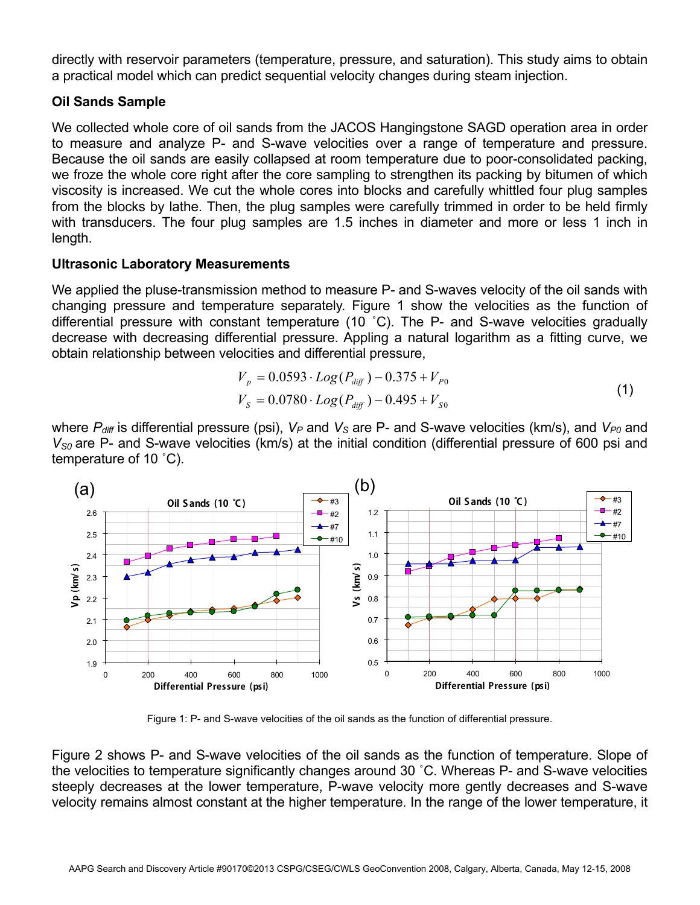directly with reservoir parameters (temperature, pressure, and saturation). This study aims to obtain a practical model which can predict sequential velocity changes during steam injection.

# **Oil Sands Sample**

We collected whole core of oil sands from the JACOS Hangingstone SAGD operation area in order to measure and analyze P- and S-wave velocities over a range of temperature and pressure. Because the oil sands are easily collapsed at room temperature due to poor-consolidated packing, we froze the whole core right after the core sampling to strengthen its packing by bitumen of which viscosity is increased. We cut the whole cores into blocks and carefully whittled four plug samples from the blocks by lathe. Then, the plug samples were carefully trimmed in order to be held firmly with transducers. The four plug samples are 1.5 inches in diameter and more or less 1 inch in length.

## **Ultrasonic Laboratory Measurements**

We applied the pluse-transmission method to measure P- and S-waves velocity of the oil sands with changing pressure and temperature separately. Figure 1 show the velocities as the function of differential pressure with constant temperature (10 ˚C). The P- and S-wave velocities gradually decrease with decreasing differential pressure. Appling a natural logarithm as a fitting curve, we obtain relationship between velocities and differential pressure,

$$
V_p = 0.0593 \cdot Log(P_{diff}) - 0.375 + V_{p_0}
$$
  
\n
$$
V_s = 0.0780 \cdot Log(P_{diff}) - 0.495 + V_{s_0}
$$
\n(1)

where  $P_{diff}$  is differential pressure (psi),  $V_P$  and  $V_S$  are P- and S-wave velocities (km/s), and  $V_{P0}$  and  $V_{SO}$  are P- and S-wave velocities (km/s) at the initial condition (differential pressure of 600 psi and temperature of 10 ˚C).



Figure 1: P- and S-wave velocities of the oil sands as the function of differential pressure.

Figure 2 shows P- and S-wave velocities of the oil sands as the function of temperature. Slope of the velocities to temperature significantly changes around 30 ˚C. Whereas P- and S-wave velocities steeply decreases at the lower temperature, P-wave velocity more gently decreases and S-wave velocity remains almost constant at the higher temperature. In the range of the lower temperature, it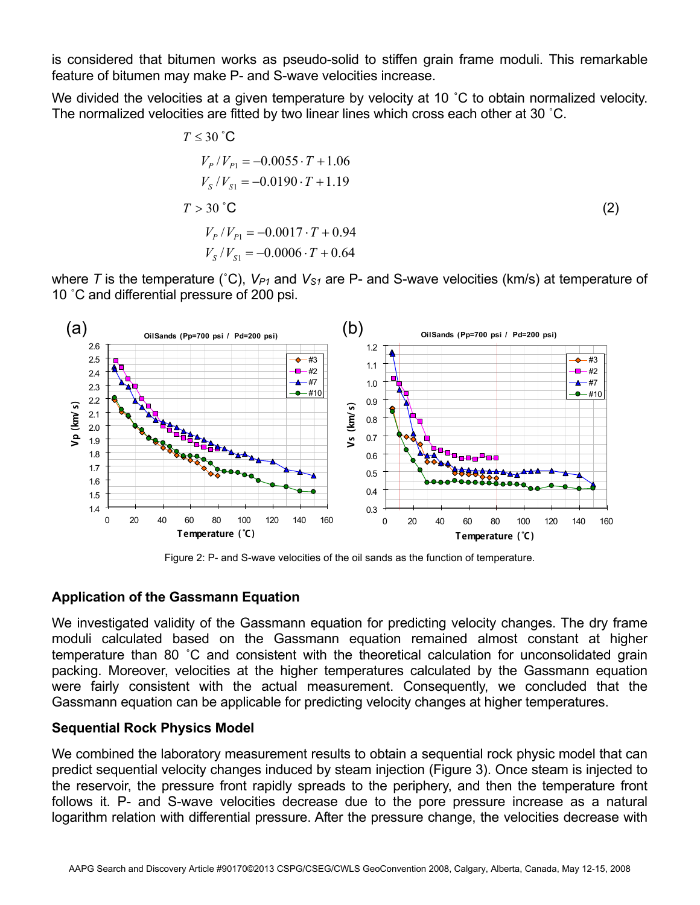is considered that bitumen works as pseudo-solid to stiffen grain frame moduli. This remarkable feature of bitumen may make P- and S-wave velocities increase.

We divided the velocities at a given temperature by velocity at 10 °C to obtain normalized velocity. The normalized velocities are fitted by two linear lines which cross each other at 30 ˚C.

$$
T \le 30^{\circ}\text{C}
$$
  
\n
$$
V_P/V_{P1} = -0.0055 \cdot T + 1.06
$$
  
\n
$$
V_S/V_{S1} = -0.0190 \cdot T + 1.19
$$
  
\n
$$
T > 30^{\circ}\text{C}
$$
  
\n
$$
V_P/V_{P1} = -0.0017 \cdot T + 0.94
$$
  
\n
$$
V_S/V_{S1} = -0.0006 \cdot T + 0.64
$$
 (2)

where T is the temperature (°C),  $V_{P1}$  and  $V_{S1}$  are P- and S-wave velocities (km/s) at temperature of 10 ˚C and differential pressure of 200 psi.



Figure 2: P- and S-wave velocities of the oil sands as the function of temperature.

### **Application of the Gassmann Equation**

We investigated validity of the Gassmann equation for predicting velocity changes. The dry frame moduli calculated based on the Gassmann equation remained almost constant at higher temperature than 80 ˚C and consistent with the theoretical calculation for unconsolidated grain packing. Moreover, velocities at the higher temperatures calculated by the Gassmann equation were fairly consistent with the actual measurement. Consequently, we concluded that the Gassmann equation can be applicable for predicting velocity changes at higher temperatures.

### **Sequential Rock Physics Model**

We combined the laboratory measurement results to obtain a sequential rock physic model that can predict sequential velocity changes induced by steam injection (Figure 3). Once steam is injected to the reservoir, the pressure front rapidly spreads to the periphery, and then the temperature front follows it. P- and S-wave velocities decrease due to the pore pressure increase as a natural logarithm relation with differential pressure. After the pressure change, the velocities decrease with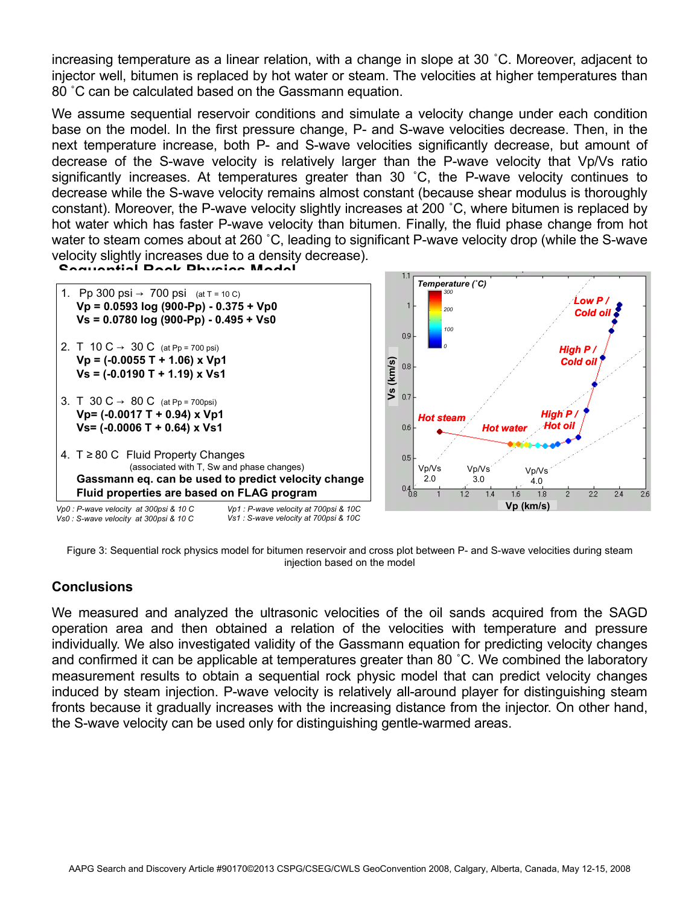increasing temperature as a linear relation, with a change in slope at 30 ˚C. Moreover, adjacent to injector well, bitumen is replaced by hot water or steam. The velocities at higher temperatures than 80 ˚C can be calculated based on the Gassmann equation.

We assume sequential reservoir conditions and simulate a velocity change under each condition base on the model. In the first pressure change, P- and S-wave velocities decrease. Then, in the next temperature increase, both P- and S-wave velocities significantly decrease, but amount of decrease of the S-wave velocity is relatively larger than the P-wave velocity that Vp/Vs ratio significantly increases. At temperatures greater than 30 ˚C, the P-wave velocity continues to decrease while the S-wave velocity remains almost constant (because shear modulus is thoroughly constant). Moreover, the P-wave velocity slightly increases at 200 ˚C, where bitumen is replaced by hot water which has faster P-wave velocity than bitumen. Finally, the fluid phase change from hot water to steam comes about at 260 ˚C, leading to significant P-wave velocity drop (while the S-wave velocity slightly increases due to a density decrease).



Figure 3: Sequential rock physics model for bitumen reservoir and cross plot between P- and S-wave velocities during steam injection based on the model

### **Conclusions**

We measured and analyzed the ultrasonic velocities of the oil sands acquired from the SAGD operation area and then obtained a relation of the velocities with temperature and pressure individually. We also investigated validity of the Gassmann equation for predicting velocity changes and confirmed it can be applicable at temperatures greater than 80 ˚C. We combined the laboratory measurement results to obtain a sequential rock physic model that can predict velocity changes induced by steam injection. P-wave velocity is relatively all-around player for distinguishing steam fronts because it gradually increases with the increasing distance from the injector. On other hand, the S-wave velocity can be used only for distinguishing gentle-warmed areas.